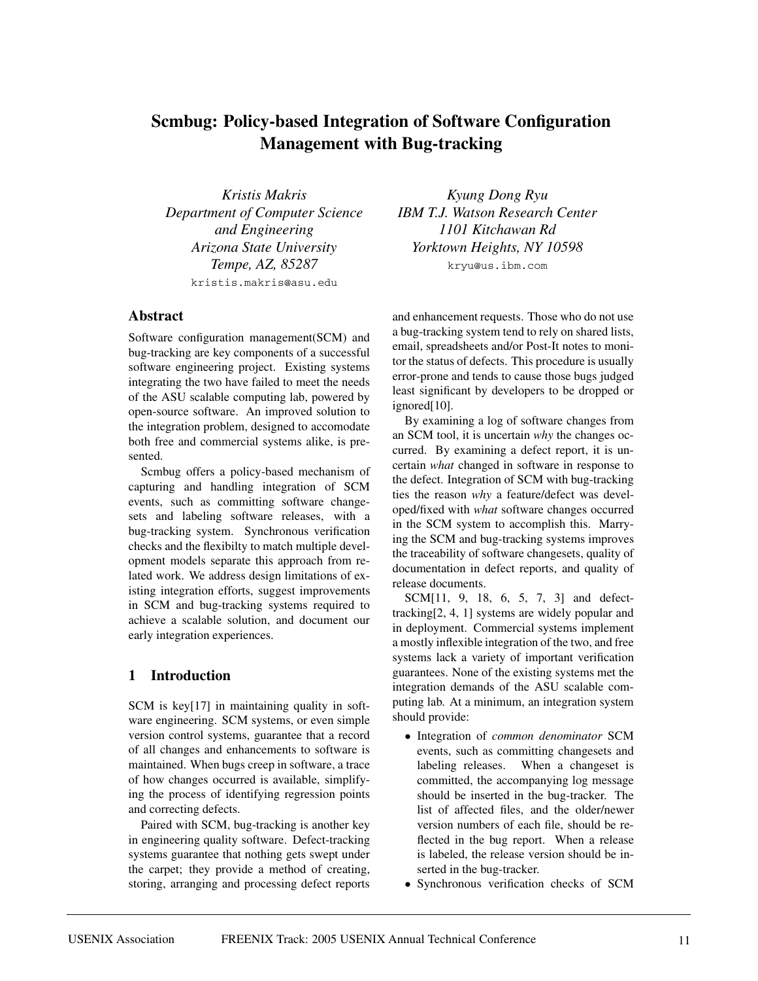# **Scmbug: Policy-based Integration of Software Configuration Management with Bug-tracking**

*Kristis Makris Department of Computer Science and Engineering Arizona State University Tempe, AZ, 85287* kristis.makris@asu.edu

#### **Abstract**

Software configuration management(SCM) and bug-tracking are key components of a successful software engineering project. Existing systems integrating the two have failed to meet the needs of the ASU scalable computing lab, powered by open-source software. An improved solution to the integration problem, designed to accomodate both free and commercial systems alike, is presented.

Scmbug offers a policy-based mechanism of capturing and handling integration of SCM events, such as committing software changesets and labeling software releases, with a bug-tracking system. Synchronous verification checks and the flexibilty to match multiple development models separate this approach from related work. We address design limitations of existing integration efforts, suggest improvements in SCM and bug-tracking systems required to achieve a scalable solution, and document our early integration experiences.

### **1 Introduction**

SCM is key[17] in maintaining quality in software engineering. SCM systems, or even simple version control systems, guarantee that a record of all changes and enhancements to software is maintained. When bugs creep in software, a trace of how changes occurred is available, simplifying the process of identifying regression points and correcting defects.

Paired with SCM, bug-tracking is another key in engineering quality software. Defect-tracking systems guarantee that nothing gets swept under the carpet; they provide a method of creating, storing, arranging and processing defect reports

*Kyung Dong Ryu IBM T.J. Watson Research Center 1101 Kitchawan Rd Yorktown Heights, NY 10598* kryu@us.ibm.com

and enhancement requests. Those who do not use a bug-tracking system tend to rely on shared lists, email, spreadsheets and/or Post-It notes to monitor the status of defects. This procedure is usually error-prone and tends to cause those bugs judged least significant by developers to be dropped or ignored<sup>[10]</sup>.

By examining a log of software changes from an SCM tool, it is uncertain *why* the changes occurred. By examining a defect report, it is uncertain *what* changed in software in response to the defect. Integration of SCM with bug-tracking ties the reason *why* a feature/defect was developed/fixed with *what* software changes occurred in the SCM system to accomplish this. Marrying the SCM and bug-tracking systems improves the traceability of software changesets, quality of documentation in defect reports, and quality of release documents.

SCM[11, 9, 18, 6, 5, 7, 3] and defecttracking[2, 4, 1] systems are widely popular and in deployment. Commercial systems implement a mostly inflexible integration of the two, and free systems lack a variety of important verification guarantees. None of the existing systems met the integration demands of the ASU scalable computing lab. At a minimum, an integration system should provide:

- Integration of *common denominator* SCM events, such as committing changesets and labeling releases. When a changeset is committed, the accompanying log message should be inserted in the bug-tracker. The list of affected files, and the older/newer version numbers of each file, should be reflected in the bug report. When a release is labeled, the release version should be inserted in the bug-tracker.
- Synchronous verification checks of SCM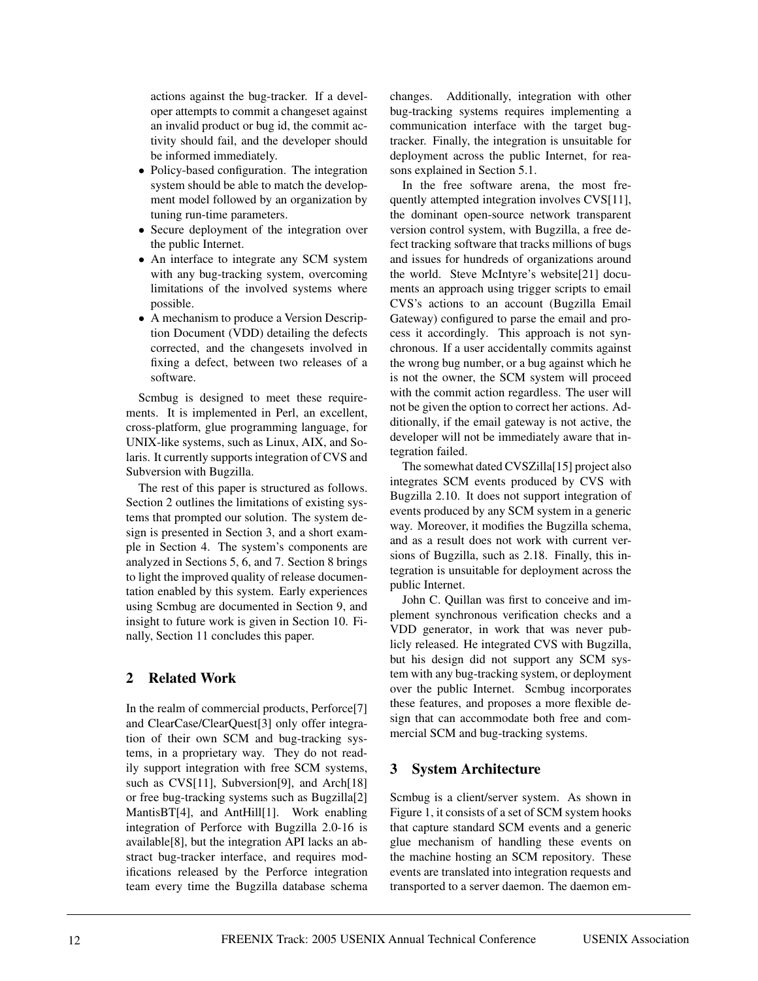actions against the bug-tracker. If a developer attempts to commit a changeset against an invalid product or bug id, the commit activity should fail, and the developer should be informed immediately.

- Policy-based configuration. The integration system should be able to match the development model followed by an organization by tuning run-time parameters.
- Secure deployment of the integration over the public Internet.
- An interface to integrate any SCM system with any bug-tracking system, overcoming limitations of the involved systems where possible.
- A mechanism to produce a Version Description Document (VDD) detailing the defects corrected, and the changesets involved in fixing a defect, between two releases of a software.

Scmbug is designed to meet these requirements. It is implemented in Perl, an excellent, cross-platform, glue programming language, for UNIX-like systems, such as Linux, AIX, and Solaris. It currently supports integration of CVS and Subversion with Bugzilla.

The rest of this paper is structured as follows. Section 2 outlines the limitations of existing systems that prompted our solution. The system design is presented in Section 3, and a short example in Section 4. The system's components are analyzed in Sections 5, 6, and 7. Section 8 brings to light the improved quality of release documentation enabled by this system. Early experiences using Scmbug are documented in Section 9, and insight to future work is given in Section 10. Finally, Section 11 concludes this paper.

# **2 Related Work**

In the realm of commercial products, Perforce[7] and ClearCase/ClearQuest[3] only offer integration of their own SCM and bug-tracking systems, in a proprietary way. They do not readily support integration with free SCM systems, such as CVS[11], Subversion[9], and Arch[18] or free bug-tracking systems such as Bugzilla[2] MantisBT[4], and AntHill[1]. Work enabling integration of Perforce with Bugzilla 2.0-16 is available[8], but the integration API lacks an abstract bug-tracker interface, and requires modifications released by the Perforce integration team every time the Bugzilla database schema changes. Additionally, integration with other bug-tracking systems requires implementing a communication interface with the target bugtracker. Finally, the integration is unsuitable for deployment across the public Internet, for reasons explained in Section 5.1.

In the free software arena, the most frequently attempted integration involves CVS[11], the dominant open-source network transparent version control system, with Bugzilla, a free defect tracking software that tracks millions of bugs and issues for hundreds of organizations around the world. Steve McIntyre's website[21] documents an approach using trigger scripts to email CVS's actions to an account (Bugzilla Email Gateway) configured to parse the email and process it accordingly. This approach is not synchronous. If a user accidentally commits against the wrong bug number, or a bug against which he is not the owner, the SCM system will proceed with the commit action regardless. The user will not be given the option to correct her actions. Additionally, if the email gateway is not active, the developer will not be immediately aware that integration failed.

The somewhat dated CVSZilla<sup>[15]</sup> project also integrates SCM events produced by CVS with Bugzilla 2.10. It does not support integration of events produced by any SCM system in a generic way. Moreover, it modifies the Bugzilla schema, and as a result does not work with current versions of Bugzilla, such as 2.18. Finally, this integration is unsuitable for deployment across the public Internet.

John C. Quillan was first to conceive and implement synchronous verification checks and a VDD generator, in work that was never publicly released. He integrated CVS with Bugzilla, but his design did not support any SCM system with any bug-tracking system, or deployment over the public Internet. Scmbug incorporates these features, and proposes a more flexible design that can accommodate both free and commercial SCM and bug-tracking systems.

# **3 System Architecture**

Scmbug is a client/server system. As shown in Figure 1, it consists of a set of SCM system hooks that capture standard SCM events and a generic glue mechanism of handling these events on the machine hosting an SCM repository. These events are translated into integration requests and transported to a server daemon. The daemon em-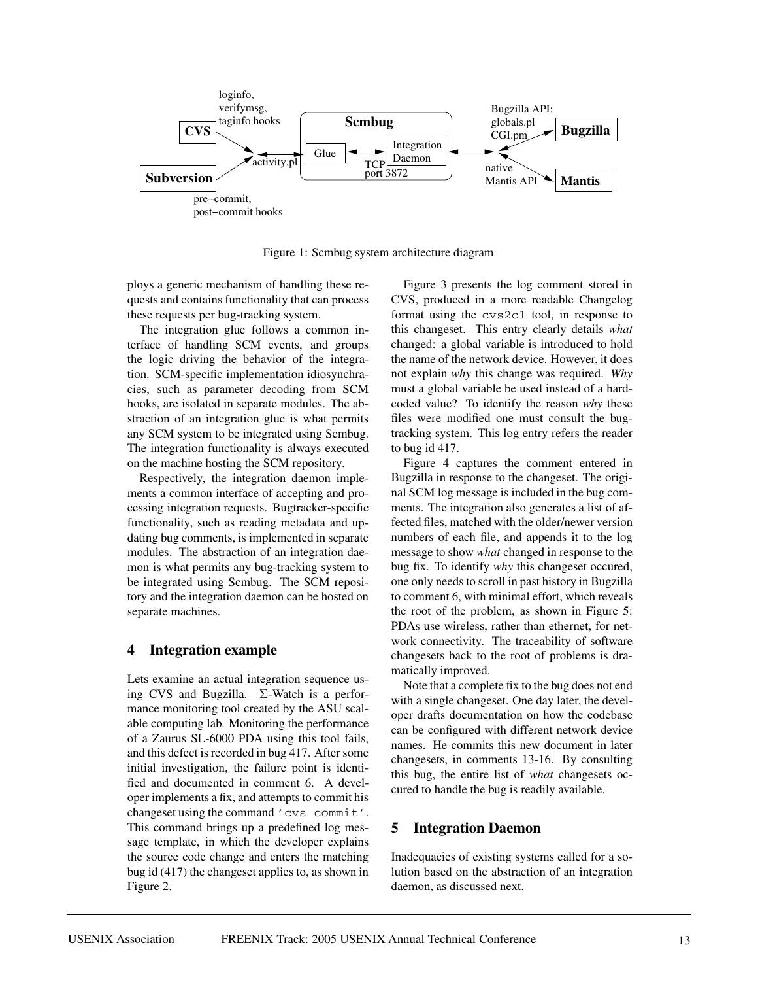

Figure 1: Scmbug system architecture diagram

ploys a generic mechanism of handling these requests and contains functionality that can process these requests per bug-tracking system.

The integration glue follows a common interface of handling SCM events, and groups the logic driving the behavior of the integration. SCM-specific implementation idiosynchracies, such as parameter decoding from SCM hooks, are isolated in separate modules. The abstraction of an integration glue is what permits any SCM system to be integrated using Scmbug. The integration functionality is always executed on the machine hosting the SCM repository.

Respectively, the integration daemon implements a common interface of accepting and processing integration requests. Bugtracker-specific functionality, such as reading metadata and updating bug comments, is implemented in separate modules. The abstraction of an integration daemon is what permits any bug-tracking system to be integrated using Scmbug. The SCM repository and the integration daemon can be hosted on separate machines.

### **4 Integration example**

Lets examine an actual integration sequence using CVS and Bugzilla. Σ-Watch is a performance monitoring tool created by the ASU scalable computing lab. Monitoring the performance of a Zaurus SL-6000 PDA using this tool fails, and this defect is recorded in bug 417. After some initial investigation, the failure point is identified and documented in comment 6. A developer implements a fix, and attempts to commit his changeset using the command 'cvs commit'. This command brings up a predefined log message template, in which the developer explains the source code change and enters the matching bug id (417) the changeset applies to, as shown in Figure 2.

Figure 3 presents the log comment stored in CVS, produced in a more readable Changelog format using the cvs2cl tool, in response to this changeset. This entry clearly details *what* changed: a global variable is introduced to hold the name of the network device. However, it does not explain *why* this change was required. *Why* must a global variable be used instead of a hardcoded value? To identify the reason *why* these files were modified one must consult the bugtracking system. This log entry refers the reader to bug id 417.

Figure 4 captures the comment entered in Bugzilla in response to the changeset. The original SCM log message is included in the bug comments. The integration also generates a list of affected files, matched with the older/newer version numbers of each file, and appends it to the log message to show *what* changed in response to the bug fix. To identify *why* this changeset occured, one only needs to scroll in past history in Bugzilla to comment 6, with minimal effort, which reveals the root of the problem, as shown in Figure 5: PDAs use wireless, rather than ethernet, for network connectivity. The traceability of software changesets back to the root of problems is dramatically improved.

Note that a complete fix to the bug does not end with a single changeset. One day later, the developer drafts documentation on how the codebase can be configured with different network device names. He commits this new document in later changesets, in comments 13-16. By consulting this bug, the entire list of *what* changesets occured to handle the bug is readily available.

### **5 Integration Daemon**

Inadequacies of existing systems called for a solution based on the abstraction of an integration daemon, as discussed next.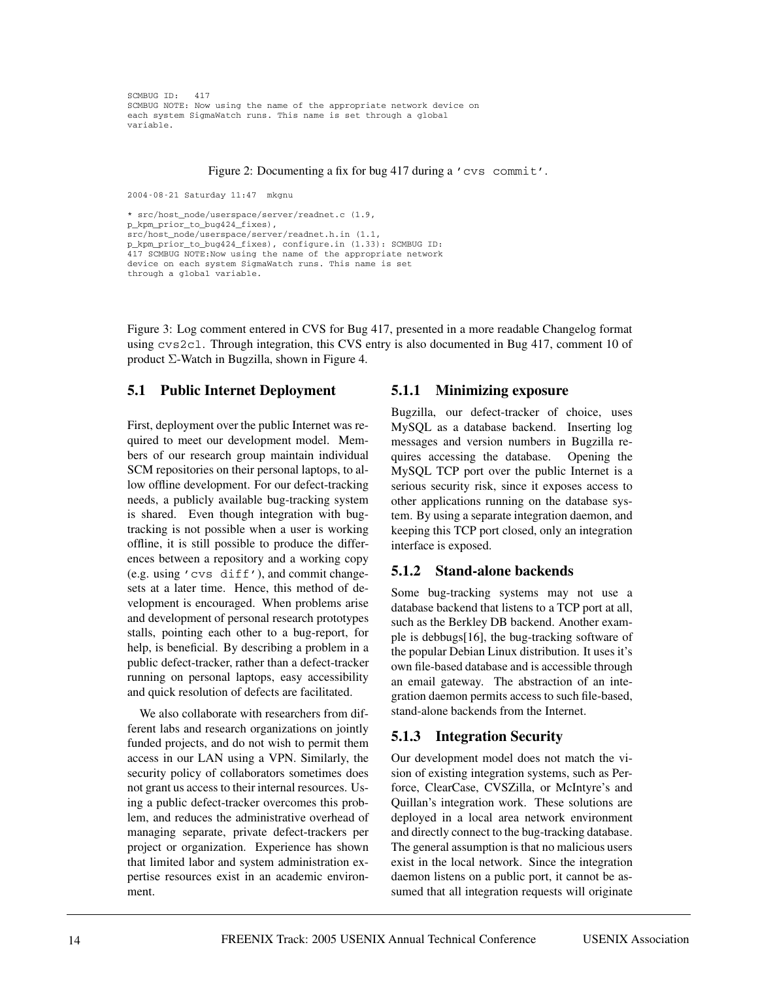```
SCMBUG ID: 417
SCMBUG NOTE: Now using the name of the appropriate network device on
each system SigmaWatch runs. This name is set through a global
variable.
```
#### Figure 2: Documenting a fix for bug 417 during a 'cvs commit'.

```
2004-08-21 Saturday 11:47 mkgnu
```

```
* src/host_node/userspace/server/readnet.c (1.9,
p_kpm_prior_to_bug424_fixes),
src/host_node/userspace/server/readnet.h.in (1.1,
p_kpm_prior_to_bug424_fixes), configure.in (1.33): SCMBUG ID:
417 SCMBUG NOTE:Now using the name of the appropriate network
device on each system SigmaWatch runs. This name is set
through a global variable.
```
Figure 3: Log comment entered in CVS for Bug 417, presented in a more readable Changelog format using cvs2cl. Through integration, this CVS entry is also documented in Bug 417, comment 10 of product Σ-Watch in Bugzilla, shown in Figure 4.

#### **5.1 Public Internet Deployment**

First, deployment over the public Internet was required to meet our development model. Members of our research group maintain individual SCM repositories on their personal laptops, to allow offline development. For our defect-tracking needs, a publicly available bug-tracking system is shared. Even though integration with bugtracking is not possible when a user is working offline, it is still possible to produce the differences between a repository and a working copy (e.g. using 'cvs diff'), and commit changesets at a later time. Hence, this method of development is encouraged. When problems arise and development of personal research prototypes stalls, pointing each other to a bug-report, for help, is beneficial. By describing a problem in a public defect-tracker, rather than a defect-tracker running on personal laptops, easy accessibility and quick resolution of defects are facilitated.

We also collaborate with researchers from different labs and research organizations on jointly funded projects, and do not wish to permit them access in our LAN using a VPN. Similarly, the security policy of collaborators sometimes does not grant us access to their internal resources. Using a public defect-tracker overcomes this problem, and reduces the administrative overhead of managing separate, private defect-trackers per project or organization. Experience has shown that limited labor and system administration expertise resources exist in an academic environment.

#### **5.1.1 Minimizing exposure**

Bugzilla, our defect-tracker of choice, uses MySQL as a database backend. Inserting log messages and version numbers in Bugzilla requires accessing the database. Opening the MySQL TCP port over the public Internet is a serious security risk, since it exposes access to other applications running on the database system. By using a separate integration daemon, and keeping this TCP port closed, only an integration interface is exposed.

#### **5.1.2 Stand-alone backends**

Some bug-tracking systems may not use a database backend that listens to a TCP port at all, such as the Berkley DB backend. Another example is debbugs[16], the bug-tracking software of the popular Debian Linux distribution. It uses it's own file-based database and is accessible through an email gateway. The abstraction of an integration daemon permits access to such file-based, stand-alone backends from the Internet.

#### **5.1.3 Integration Security**

Our development model does not match the vision of existing integration systems, such as Perforce, ClearCase, CVSZilla, or McIntyre's and Quillan's integration work. These solutions are deployed in a local area network environment and directly connect to the bug-tracking database. The general assumption is that no malicious users exist in the local network. Since the integration daemon listens on a public port, it cannot be assumed that all integration requests will originate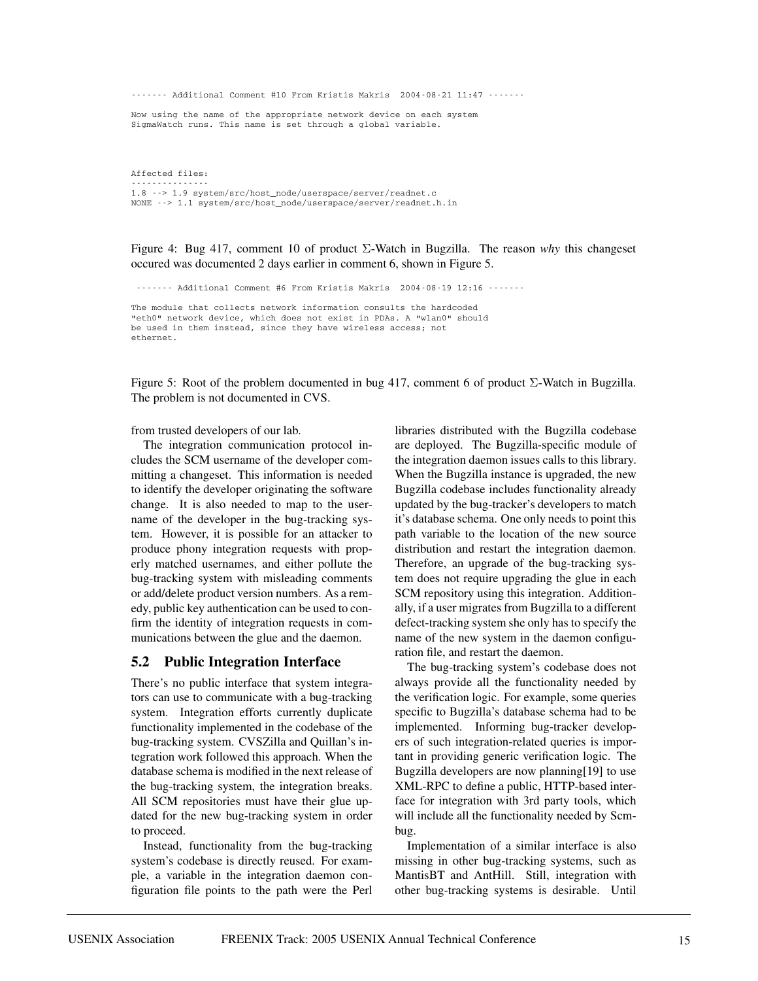------- Additional Comment #10 From Kristis Makris 2004-08-21 11:47 -------

Now using the name of the appropriate network device on each system SigmaWatch runs. This name is set through a global variable.

Affected files:

--------------- 1.8 --> 1.9 system/src/host\_node/userspace/server/readnet.c NONE --> 1.1 system/src/host\_node/userspace/server/readnet.h.in

Figure 4: Bug 417, comment 10 of product Σ-Watch in Bugzilla. The reason *why* this changeset occured was documented 2 days earlier in comment 6, shown in Figure 5.

------- Additional Comment #6 From Kristis Makris 2004-08-19 12:16 -------

The module that collects network information consults the hardcoded "eth0" network device, which does not exist in PDAs. A "wlan0" should be used in them instead, since they have wireless access; not ethernet.

Figure 5: Root of the problem documented in bug 417, comment 6 of product  $\Sigma$ -Watch in Bugzilla. The problem is not documented in CVS.

from trusted developers of our lab.

The integration communication protocol includes the SCM username of the developer committing a changeset. This information is needed to identify the developer originating the software change. It is also needed to map to the username of the developer in the bug-tracking system. However, it is possible for an attacker to produce phony integration requests with properly matched usernames, and either pollute the bug-tracking system with misleading comments or add/delete product version numbers. As a remedy, public key authentication can be used to confirm the identity of integration requests in communications between the glue and the daemon.

#### **5.2 Public Integration Interface**

There's no public interface that system integrators can use to communicate with a bug-tracking system. Integration efforts currently duplicate functionality implemented in the codebase of the bug-tracking system. CVSZilla and Quillan's integration work followed this approach. When the database schema is modified in the next release of the bug-tracking system, the integration breaks. All SCM repositories must have their glue updated for the new bug-tracking system in order to proceed.

Instead, functionality from the bug-tracking system's codebase is directly reused. For example, a variable in the integration daemon configuration file points to the path were the Perl libraries distributed with the Bugzilla codebase are deployed. The Bugzilla-specific module of the integration daemon issues calls to this library. When the Bugzilla instance is upgraded, the new Bugzilla codebase includes functionality already updated by the bug-tracker's developers to match it's database schema. One only needs to point this path variable to the location of the new source distribution and restart the integration daemon. Therefore, an upgrade of the bug-tracking system does not require upgrading the glue in each SCM repository using this integration. Additionally, if a user migrates from Bugzilla to a different defect-tracking system she only has to specify the name of the new system in the daemon configuration file, and restart the daemon.

The bug-tracking system's codebase does not always provide all the functionality needed by the verification logic. For example, some queries specific to Bugzilla's database schema had to be implemented. Informing bug-tracker developers of such integration-related queries is important in providing generic verification logic. The Bugzilla developers are now planning[19] to use XML-RPC to define a public, HTTP-based interface for integration with 3rd party tools, which will include all the functionality needed by Scmbug.

Implementation of a similar interface is also missing in other bug-tracking systems, such as MantisBT and AntHill. Still, integration with other bug-tracking systems is desirable. Until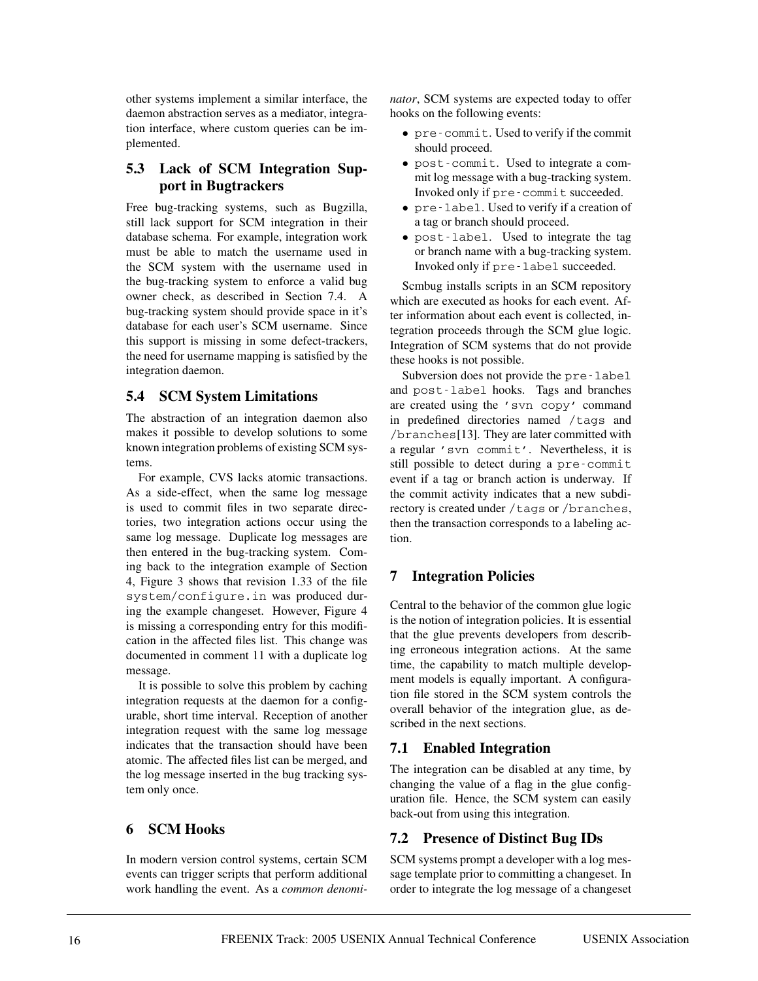other systems implement a similar interface, the daemon abstraction serves as a mediator, integration interface, where custom queries can be implemented.

## **5.3 Lack of SCM Integration Support in Bugtrackers**

Free bug-tracking systems, such as Bugzilla, still lack support for SCM integration in their database schema. For example, integration work must be able to match the username used in the SCM system with the username used in the bug-tracking system to enforce a valid bug owner check, as described in Section 7.4. A bug-tracking system should provide space in it's database for each user's SCM username. Since this support is missing in some defect-trackers, the need for username mapping is satisfied by the integration daemon.

## **5.4 SCM System Limitations**

The abstraction of an integration daemon also makes it possible to develop solutions to some known integration problems of existing SCM systems.

For example, CVS lacks atomic transactions. As a side-effect, when the same log message is used to commit files in two separate directories, two integration actions occur using the same log message. Duplicate log messages are then entered in the bug-tracking system. Coming back to the integration example of Section 4, Figure 3 shows that revision 1.33 of the file system/configure.in was produced during the example changeset. However, Figure 4 is missing a corresponding entry for this modification in the affected files list. This change was documented in comment 11 with a duplicate log message.

It is possible to solve this problem by caching integration requests at the daemon for a configurable, short time interval. Reception of another integration request with the same log message indicates that the transaction should have been atomic. The affected files list can be merged, and the log message inserted in the bug tracking system only once.

# **6 SCM Hooks**

In modern version control systems, certain SCM events can trigger scripts that perform additional work handling the event. As a *common denomi-* *nator*, SCM systems are expected today to offer hooks on the following events:

- pre-commit. Used to verify if the commit should proceed.
- post-commit. Used to integrate a commit log message with a bug-tracking system. Invoked only if pre-commit succeeded.
- pre-label. Used to verify if a creation of a tag or branch should proceed.
- post-label. Used to integrate the tag or branch name with a bug-tracking system. Invoked only if pre-label succeeded.

Scmbug installs scripts in an SCM repository which are executed as hooks for each event. After information about each event is collected, integration proceeds through the SCM glue logic. Integration of SCM systems that do not provide these hooks is not possible.

Subversion does not provide the pre-label and post-label hooks. Tags and branches are created using the 'svn copy' command in predefined directories named /tags and /branches[13]. They are later committed with a regular 'svn commit'. Nevertheless, it is still possible to detect during a pre-commit event if a tag or branch action is underway. If the commit activity indicates that a new subdirectory is created under /tags or /branches, then the transaction corresponds to a labeling action.

# **7 Integration Policies**

Central to the behavior of the common glue logic is the notion of integration policies. It is essential that the glue prevents developers from describing erroneous integration actions. At the same time, the capability to match multiple development models is equally important. A configuration file stored in the SCM system controls the overall behavior of the integration glue, as described in the next sections.

### **7.1 Enabled Integration**

The integration can be disabled at any time, by changing the value of a flag in the glue configuration file. Hence, the SCM system can easily back-out from using this integration.

# **7.2 Presence of Distinct Bug IDs**

SCM systems prompt a developer with a log message template prior to committing a changeset. In order to integrate the log message of a changeset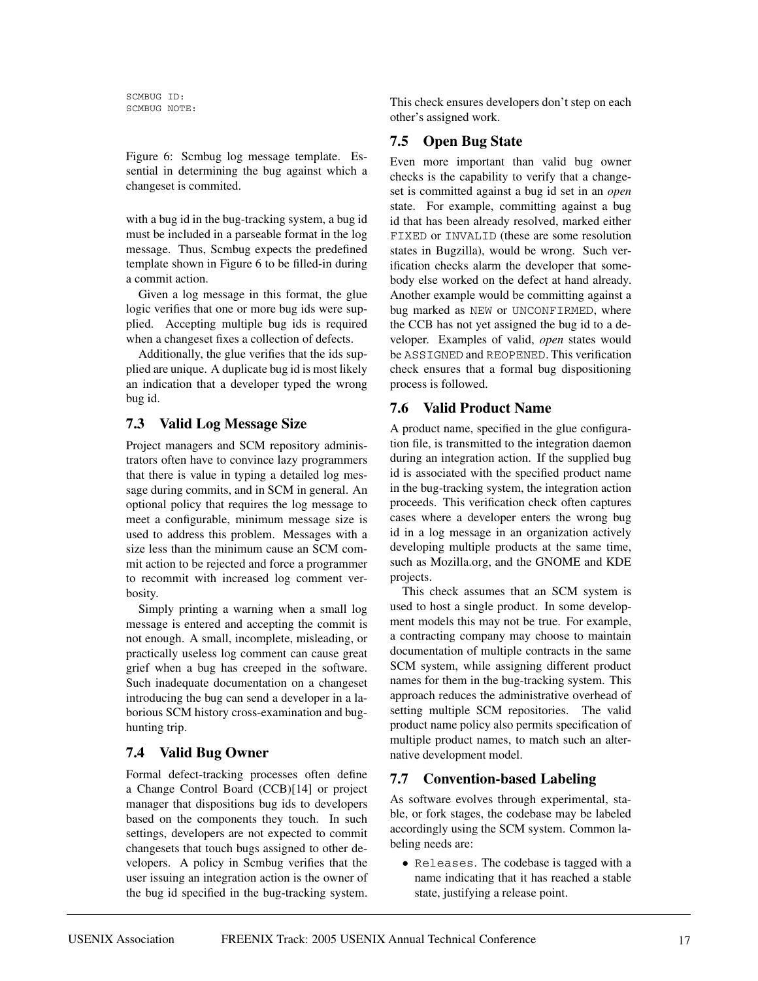SCMBUG ID: SCMBUG NOTE:

Figure 6: Scmbug log message template. Essential in determining the bug against which a changeset is commited.

with a bug id in the bug-tracking system, a bug id must be included in a parseable format in the log message. Thus, Scmbug expects the predefined template shown in Figure 6 to be filled-in during a commit action.

Given a log message in this format, the glue logic verifies that one or more bug ids were supplied. Accepting multiple bug ids is required when a changeset fixes a collection of defects.

Additionally, the glue verifies that the ids supplied are unique. A duplicate bug id is most likely an indication that a developer typed the wrong bug id.

## **7.3 Valid Log Message Size**

Project managers and SCM repository administrators often have to convince lazy programmers that there is value in typing a detailed log message during commits, and in SCM in general. An optional policy that requires the log message to meet a configurable, minimum message size is used to address this problem. Messages with a size less than the minimum cause an SCM commit action to be rejected and force a programmer to recommit with increased log comment verbosity.

Simply printing a warning when a small log message is entered and accepting the commit is not enough. A small, incomplete, misleading, or practically useless log comment can cause great grief when a bug has creeped in the software. Such inadequate documentation on a changeset introducing the bug can send a developer in a laborious SCM history cross-examination and bughunting trip.

# **7.4 Valid Bug Owner**

Formal defect-tracking processes often define a Change Control Board (CCB)[14] or project manager that dispositions bug ids to developers based on the components they touch. In such settings, developers are not expected to commit changesets that touch bugs assigned to other developers. A policy in Scmbug verifies that the user issuing an integration action is the owner of the bug id specified in the bug-tracking system. This check ensures developers don't step on each other's assigned work.

# **7.5 Open Bug State**

Even more important than valid bug owner checks is the capability to verify that a changeset is committed against a bug id set in an *open* state. For example, committing against a bug id that has been already resolved, marked either FIXED or INVALID (these are some resolution states in Bugzilla), would be wrong. Such verification checks alarm the developer that somebody else worked on the defect at hand already. Another example would be committing against a bug marked as NEW or UNCONFIRMED, where the CCB has not yet assigned the bug id to a developer. Examples of valid, *open* states would be ASSIGNED and REOPENED. This verification check ensures that a formal bug dispositioning process is followed.

# **7.6 Valid Product Name**

A product name, specified in the glue configuration file, is transmitted to the integration daemon during an integration action. If the supplied bug id is associated with the specified product name in the bug-tracking system, the integration action proceeds. This verification check often captures cases where a developer enters the wrong bug id in a log message in an organization actively developing multiple products at the same time, such as Mozilla.org, and the GNOME and KDE projects.

This check assumes that an SCM system is used to host a single product. In some development models this may not be true. For example, a contracting company may choose to maintain documentation of multiple contracts in the same SCM system, while assigning different product names for them in the bug-tracking system. This approach reduces the administrative overhead of setting multiple SCM repositories. The valid product name policy also permits specification of multiple product names, to match such an alternative development model.

# **7.7 Convention-based Labeling**

As software evolves through experimental, stable, or fork stages, the codebase may be labeled accordingly using the SCM system. Common labeling needs are:

• Releases. The codebase is tagged with a name indicating that it has reached a stable state, justifying a release point.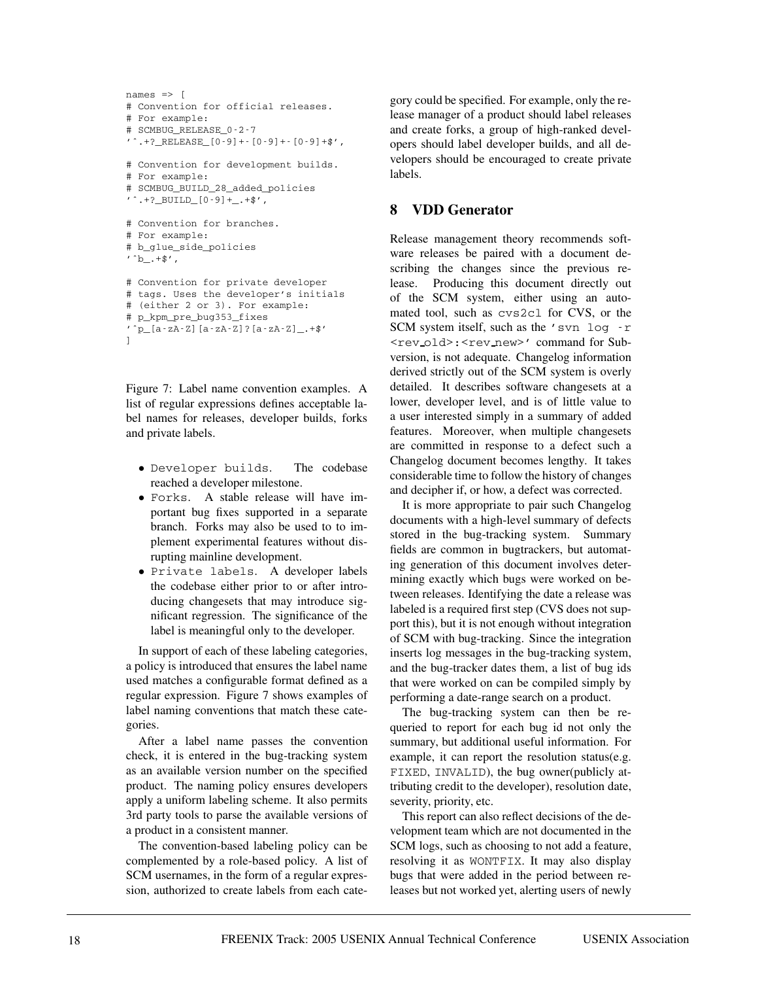```
names \Rightarrow [
# Convention for official releases.
# For example:
# SCMBUG_RELEASE_0-2-7
 \hat{F}.+?_RELEASE_[0-9]+-[0-9]+-[0-9]+$',
# Convention for development builds.
# For example:
# SCMBUG_BUILD_28_added_policies
'\hat{}. +?_BUILD_[0-9]+. +$',
# Convention for branches.
# For example:
# b_glue_side_policies
\cdot ^b_. +$',
# Convention for private developer
# tags. Uses the developer's initials
# (either 2 or 3). For example:
# p_kpm_pre_bug353_fixes
'ˆp_[a-zA-Z][a-zA-Z]?[a-zA-Z]_.+$'
]
```
Figure 7: Label name convention examples. A list of regular expressions defines acceptable label names for releases, developer builds, forks and private labels.

- Developer builds. The codebase reached a developer milestone.
- Forks. A stable release will have important bug fixes supported in a separate branch. Forks may also be used to to implement experimental features without disrupting mainline development.
- Private labels. A developer labels the codebase either prior to or after introducing changesets that may introduce significant regression. The significance of the label is meaningful only to the developer.

In support of each of these labeling categories, a policy is introduced that ensures the label name used matches a configurable format defined as a regular expression. Figure 7 shows examples of label naming conventions that match these categories.

After a label name passes the convention check, it is entered in the bug-tracking system as an available version number on the specified product. The naming policy ensures developers apply a uniform labeling scheme. It also permits 3rd party tools to parse the available versions of a product in a consistent manner.

The convention-based labeling policy can be complemented by a role-based policy. A list of SCM usernames, in the form of a regular expression, authorized to create labels from each category could be specified. For example, only the release manager of a product should label releases and create forks, a group of high-ranked developers should label developer builds, and all developers should be encouraged to create private labels.

### **8 VDD Generator**

Release management theory recommends software releases be paired with a document describing the changes since the previous release. Producing this document directly out of the SCM system, either using an automated tool, such as cvs2cl for CVS, or the SCM system itself, such as the 'svn log -r <rev old>:<rev new>' command for Subversion, is not adequate. Changelog information derived strictly out of the SCM system is overly detailed. It describes software changesets at a lower, developer level, and is of little value to a user interested simply in a summary of added features. Moreover, when multiple changesets are committed in response to a defect such a Changelog document becomes lengthy. It takes considerable time to follow the history of changes and decipher if, or how, a defect was corrected.

It is more appropriate to pair such Changelog documents with a high-level summary of defects stored in the bug-tracking system. Summary fields are common in bugtrackers, but automating generation of this document involves determining exactly which bugs were worked on between releases. Identifying the date a release was labeled is a required first step (CVS does not support this), but it is not enough without integration of SCM with bug-tracking. Since the integration inserts log messages in the bug-tracking system, and the bug-tracker dates them, a list of bug ids that were worked on can be compiled simply by performing a date-range search on a product.

The bug-tracking system can then be requeried to report for each bug id not only the summary, but additional useful information. For example, it can report the resolution status(e.g. FIXED, INVALID), the bug owner(publicly attributing credit to the developer), resolution date, severity, priority, etc.

This report can also reflect decisions of the development team which are not documented in the SCM logs, such as choosing to not add a feature, resolving it as WONTFIX. It may also display bugs that were added in the period between releases but not worked yet, alerting users of newly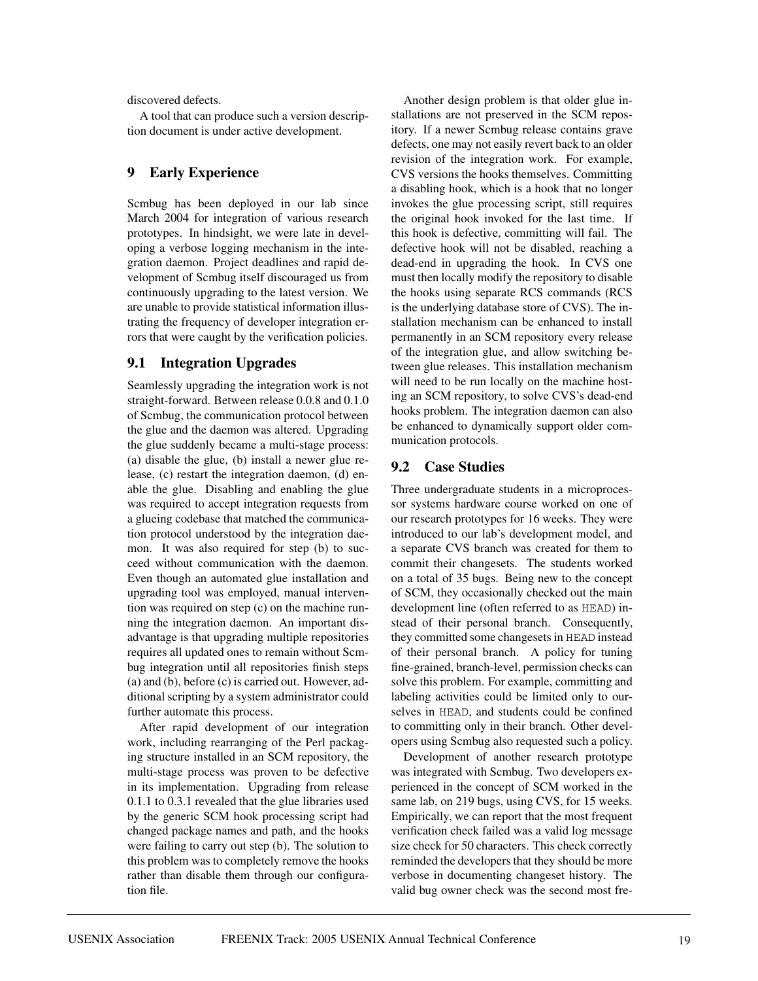discovered defects.

A tool that can produce such a version description document is under active development.

#### **9 Early Experience**

Scmbug has been deployed in our lab since March 2004 for integration of various research prototypes. In hindsight, we were late in developing a verbose logging mechanism in the integration daemon. Project deadlines and rapid development of Scmbug itself discouraged us from continuously upgrading to the latest version. We are unable to provide statistical information illustrating the frequency of developer integration errors that were caught by the verification policies.

#### **9.1 Integration Upgrades**

Seamlessly upgrading the integration work is not straight-forward. Between release 0.0.8 and 0.1.0 of Scmbug, the communication protocol between the glue and the daemon was altered. Upgrading the glue suddenly became a multi-stage process: (a) disable the glue, (b) install a newer glue release, (c) restart the integration daemon, (d) enable the glue. Disabling and enabling the glue was required to accept integration requests from a glueing codebase that matched the communication protocol understood by the integration daemon. It was also required for step (b) to succeed without communication with the daemon. Even though an automated glue installation and upgrading tool was employed, manual intervention was required on step (c) on the machine running the integration daemon. An important disadvantage is that upgrading multiple repositories requires all updated ones to remain without Scmbug integration until all repositories finish steps (a) and (b), before (c) is carried out. However, additional scripting by a system administrator could further automate this process.

After rapid development of our integration work, including rearranging of the Perl packaging structure installed in an SCM repository, the multi-stage process was proven to be defective in its implementation. Upgrading from release 0.1.1 to 0.3.1 revealed that the glue libraries used by the generic SCM hook processing script had changed package names and path, and the hooks were failing to carry out step (b). The solution to this problem was to completely remove the hooks rather than disable them through our configuration file.

Another design problem is that older glue installations are not preserved in the SCM repository. If a newer Scmbug release contains grave defects, one may not easily revert back to an older revision of the integration work. For example, CVS versions the hooks themselves. Committing a disabling hook, which is a hook that no longer invokes the glue processing script, still requires the original hook invoked for the last time. If this hook is defective, committing will fail. The defective hook will not be disabled, reaching a dead-end in upgrading the hook. In CVS one must then locally modify the repository to disable the hooks using separate RCS commands (RCS is the underlying database store of CVS). The installation mechanism can be enhanced to install permanently in an SCM repository every release of the integration glue, and allow switching between glue releases. This installation mechanism will need to be run locally on the machine hosting an SCM repository, to solve CVS's dead-end hooks problem. The integration daemon can also be enhanced to dynamically support older communication protocols.

#### **9.2 Case Studies**

Three undergraduate students in a microprocessor systems hardware course worked on one of our research prototypes for 16 weeks. They were introduced to our lab's development model, and a separate CVS branch was created for them to commit their changesets. The students worked on a total of 35 bugs. Being new to the concept of SCM, they occasionally checked out the main development line (often referred to as HEAD) instead of their personal branch. Consequently, they committed some changesets in HEAD instead of their personal branch. A policy for tuning fine-grained, branch-level, permission checks can solve this problem. For example, committing and labeling activities could be limited only to ourselves in HEAD, and students could be confined to committing only in their branch. Other developers using Scmbug also requested such a policy.

Development of another research prototype was integrated with Scmbug. Two developers experienced in the concept of SCM worked in the same lab, on 219 bugs, using CVS, for 15 weeks. Empirically, we can report that the most frequent verification check failed was a valid log message size check for 50 characters. This check correctly reminded the developers that they should be more verbose in documenting changeset history. The valid bug owner check was the second most fre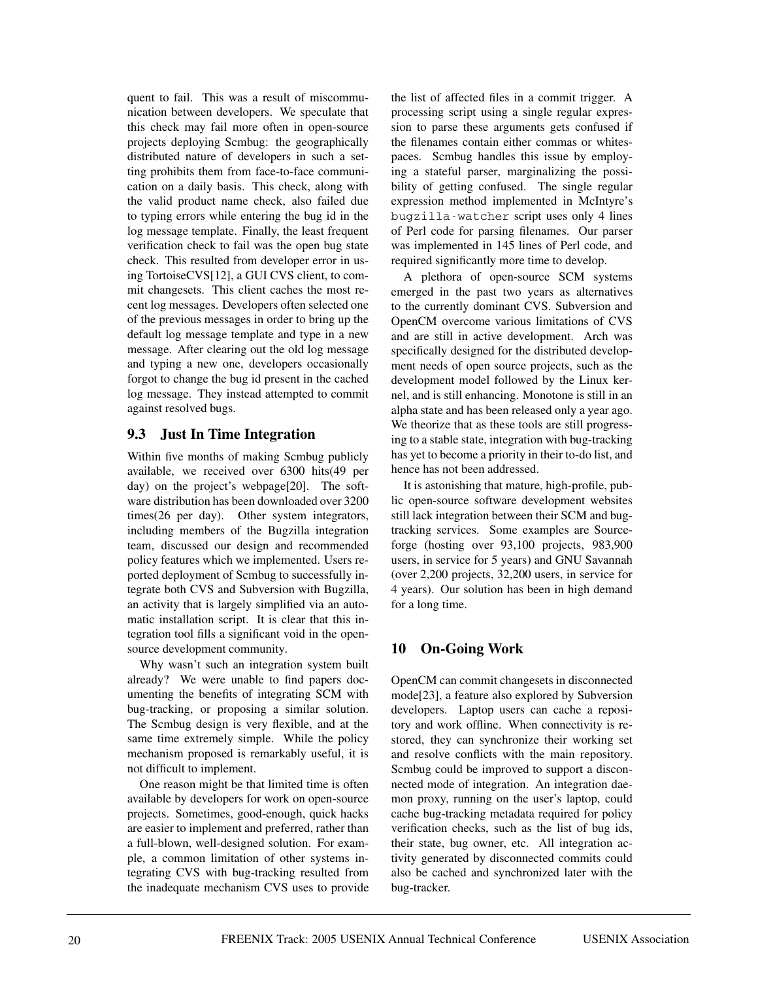quent to fail. This was a result of miscommunication between developers. We speculate that this check may fail more often in open-source projects deploying Scmbug: the geographically distributed nature of developers in such a setting prohibits them from face-to-face communication on a daily basis. This check, along with the valid product name check, also failed due to typing errors while entering the bug id in the log message template. Finally, the least frequent verification check to fail was the open bug state check. This resulted from developer error in using TortoiseCVS[12], a GUI CVS client, to commit changesets. This client caches the most recent log messages. Developers often selected one of the previous messages in order to bring up the default log message template and type in a new message. After clearing out the old log message and typing a new one, developers occasionally forgot to change the bug id present in the cached log message. They instead attempted to commit against resolved bugs.

### **9.3 Just In Time Integration**

Within five months of making Scmbug publicly available, we received over 6300 hits(49 per day) on the project's webpage[20]. The software distribution has been downloaded over 3200 times(26 per day). Other system integrators, including members of the Bugzilla integration team, discussed our design and recommended policy features which we implemented. Users reported deployment of Scmbug to successfully integrate both CVS and Subversion with Bugzilla, an activity that is largely simplified via an automatic installation script. It is clear that this integration tool fills a significant void in the opensource development community.

Why wasn't such an integration system built already? We were unable to find papers documenting the benefits of integrating SCM with bug-tracking, or proposing a similar solution. The Scmbug design is very flexible, and at the same time extremely simple. While the policy mechanism proposed is remarkably useful, it is not difficult to implement.

One reason might be that limited time is often available by developers for work on open-source projects. Sometimes, good-enough, quick hacks are easier to implement and preferred, rather than a full-blown, well-designed solution. For example, a common limitation of other systems integrating CVS with bug-tracking resulted from the inadequate mechanism CVS uses to provide

the list of affected files in a commit trigger. A processing script using a single regular expression to parse these arguments gets confused if the filenames contain either commas or whitespaces. Scmbug handles this issue by employing a stateful parser, marginalizing the possibility of getting confused. The single regular expression method implemented in McIntyre's bugzilla-watcher script uses only 4 lines of Perl code for parsing filenames. Our parser was implemented in 145 lines of Perl code, and required significantly more time to develop.

A plethora of open-source SCM systems emerged in the past two years as alternatives to the currently dominant CVS. Subversion and OpenCM overcome various limitations of CVS and are still in active development. Arch was specifically designed for the distributed development needs of open source projects, such as the development model followed by the Linux kernel, and is still enhancing. Monotone is still in an alpha state and has been released only a year ago. We theorize that as these tools are still progressing to a stable state, integration with bug-tracking has yet to become a priority in their to-do list, and hence has not been addressed.

It is astonishing that mature, high-profile, public open-source software development websites still lack integration between their SCM and bugtracking services. Some examples are Sourceforge (hosting over 93,100 projects, 983,900 users, in service for 5 years) and GNU Savannah (over 2,200 projects, 32,200 users, in service for 4 years). Our solution has been in high demand for a long time.

# **10 On-Going Work**

OpenCM can commit changesets in disconnected mode[23], a feature also explored by Subversion developers. Laptop users can cache a repository and work offline. When connectivity is restored, they can synchronize their working set and resolve conflicts with the main repository. Scmbug could be improved to support a disconnected mode of integration. An integration daemon proxy, running on the user's laptop, could cache bug-tracking metadata required for policy verification checks, such as the list of bug ids, their state, bug owner, etc. All integration activity generated by disconnected commits could also be cached and synchronized later with the bug-tracker.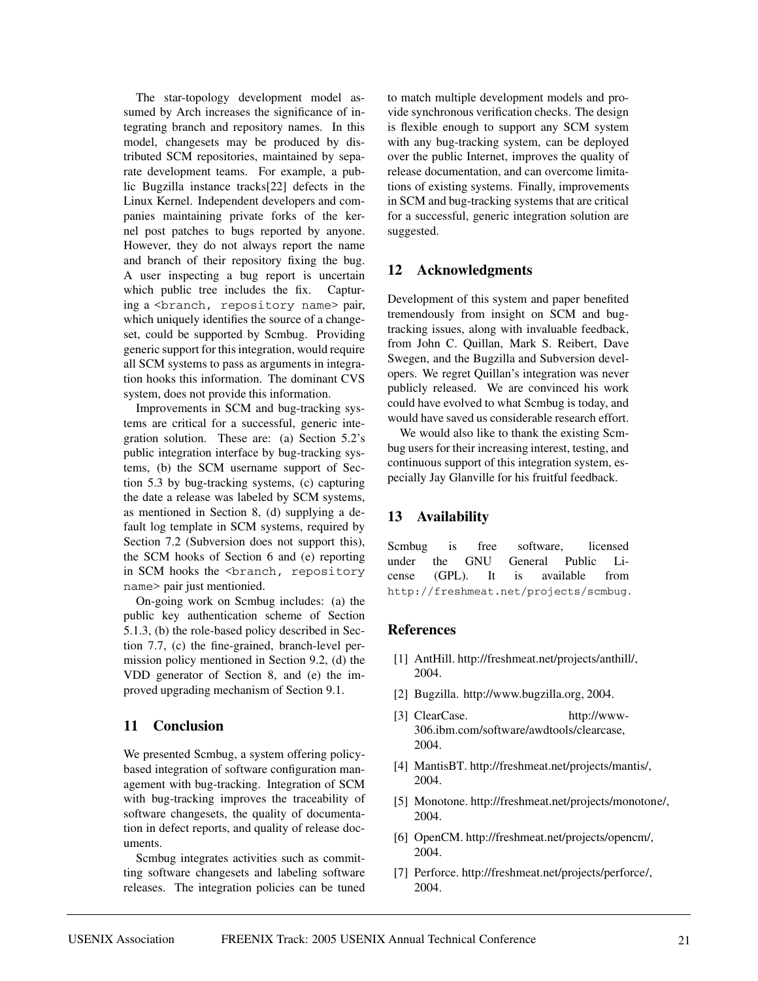The star-topology development model assumed by Arch increases the significance of integrating branch and repository names. In this model, changesets may be produced by distributed SCM repositories, maintained by separate development teams. For example, a public Bugzilla instance tracks[22] defects in the Linux Kernel. Independent developers and companies maintaining private forks of the kernel post patches to bugs reported by anyone. However, they do not always report the name and branch of their repository fixing the bug. A user inspecting a bug report is uncertain which public tree includes the fix. Capturing a <branch, repository name> pair, which uniquely identifies the source of a changeset, could be supported by Scmbug. Providing generic support for this integration, would require all SCM systems to pass as arguments in integration hooks this information. The dominant CVS system, does not provide this information.

Improvements in SCM and bug-tracking systems are critical for a successful, generic integration solution. These are: (a) Section 5.2's public integration interface by bug-tracking systems, (b) the SCM username support of Section 5.3 by bug-tracking systems, (c) capturing the date a release was labeled by SCM systems, as mentioned in Section 8, (d) supplying a default log template in SCM systems, required by Section 7.2 (Subversion does not support this), the SCM hooks of Section 6 and (e) reporting in SCM hooks the <br />branch, repository name> pair just mentionied.

On-going work on Scmbug includes: (a) the public key authentication scheme of Section 5.1.3, (b) the role-based policy described in Section 7.7, (c) the fine-grained, branch-level permission policy mentioned in Section 9.2, (d) the VDD generator of Section 8, and (e) the improved upgrading mechanism of Section 9.1.

### **11 Conclusion**

We presented Scmbug, a system offering policybased integration of software configuration management with bug-tracking. Integration of SCM with bug-tracking improves the traceability of software changesets, the quality of documentation in defect reports, and quality of release documents.

Scmbug integrates activities such as committing software changesets and labeling software releases. The integration policies can be tuned to match multiple development models and provide synchronous verification checks. The design is flexible enough to support any SCM system with any bug-tracking system, can be deployed over the public Internet, improves the quality of release documentation, and can overcome limitations of existing systems. Finally, improvements in SCM and bug-tracking systems that are critical for a successful, generic integration solution are suggested.

#### **12 Acknowledgments**

Development of this system and paper benefited tremendously from insight on SCM and bugtracking issues, along with invaluable feedback, from John C. Quillan, Mark S. Reibert, Dave Swegen, and the Bugzilla and Subversion developers. We regret Quillan's integration was never publicly released. We are convinced his work could have evolved to what Scmbug is today, and would have saved us considerable research effort.

We would also like to thank the existing Scmbug users for their increasing interest, testing, and continuous support of this integration system, especially Jay Glanville for his fruitful feedback.

#### **13 Availability**

Scmbug is free software, licensed under the GNU General Public License (GPL). It is available from http://freshmeat.net/projects/scmbug.

#### **References**

- [1] AntHill. http://freshmeat.net/projects/anthill/, 2004.
- [2] Bugzilla. http://www.bugzilla.org, 2004.
- [3] ClearCase. http://www-306.ibm.com/software/awdtools/clearcase, 2004.
- [4] MantisBT. http://freshmeat.net/projects/mantis/, 2004.
- [5] Monotone. http://freshmeat.net/projects/monotone/, 2004.
- [6] OpenCM. http://freshmeat.net/projects/opencm/, 2004.
- [7] Perforce. http://freshmeat.net/projects/perforce/, 2004.